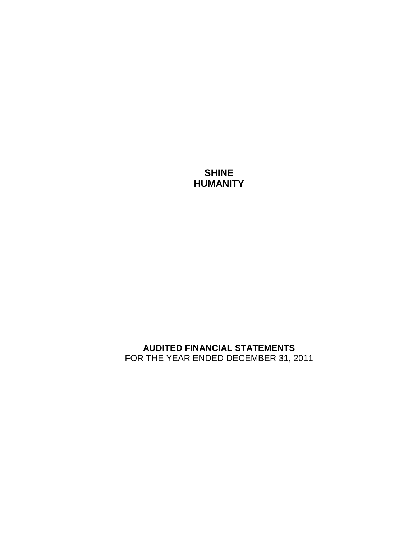# **SHINE HUMANITY**

# **AUDITED FINANCIAL STATEMENTS** FOR THE YEAR ENDED DECEMBER 31, 2011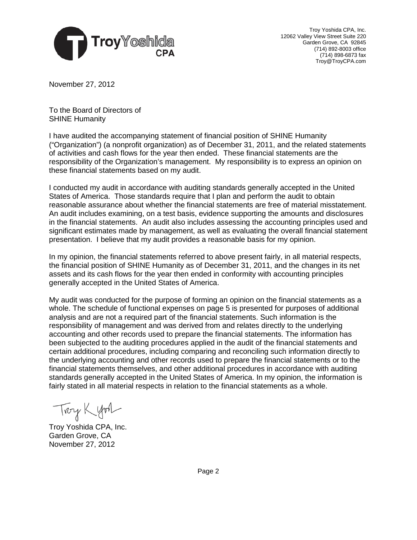

Troy Yoshida CPA, Inc. 12062 Valley View Street Suite 220 Garden Grove, CA 92845 (714) 892-8003 office (714) 898-6873 fax Troy@TroyCPA.com

November 27, 2012

To the Board of Directors of SHINE Humanity

I have audited the accompanying statement of financial position of SHINE Humanity ("Organization") (a nonprofit organization) as of December 31, 2011, and the related statements of activities and cash flows for the year then ended. These financial statements are the responsibility of the Organization's management. My responsibility is to express an opinion on these financial statements based on my audit.

I conducted my audit in accordance with auditing standards generally accepted in the United States of America. Those standards require that I plan and perform the audit to obtain reasonable assurance about whether the financial statements are free of material misstatement. An audit includes examining, on a test basis, evidence supporting the amounts and disclosures in the financial statements. An audit also includes assessing the accounting principles used and significant estimates made by management, as well as evaluating the overall financial statement presentation. I believe that my audit provides a reasonable basis for my opinion.

In my opinion, the financial statements referred to above present fairly, in all material respects, the financial position of SHINE Humanity as of December 31, 2011, and the changes in its net assets and its cash flows for the year then ended in conformity with accounting principles generally accepted in the United States of America.

My audit was conducted for the purpose of forming an opinion on the financial statements as a whole. The schedule of functional expenses on page 5 is presented for purposes of additional analysis and are not a required part of the financial statements. Such information is the responsibility of management and was derived from and relates directly to the underlying accounting and other records used to prepare the financial statements. The information has been subjected to the auditing procedures applied in the audit of the financial statements and certain additional procedures, including comparing and reconciling such information directly to the underlying accounting and other records used to prepare the financial statements or to the financial statements themselves, and other additional procedures in accordance with auditing standards generally accepted in the United States of America. In my opinion, the information is fairly stated in all material respects in relation to the financial statements as a whole.

Troy Kyon

Troy Yoshida CPA, Inc. Garden Grove, CA November 27, 2012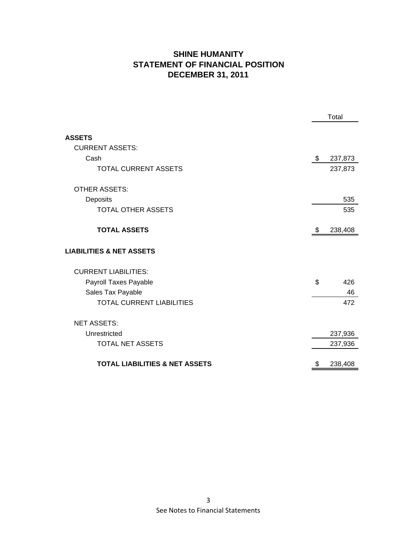## **SHINE HUMANITY STATEMENT OF FINANCIAL POSITION DECEMBER 31, 2011**

|                                           | Total |         |
|-------------------------------------------|-------|---------|
|                                           |       |         |
| <b>ASSETS</b>                             |       |         |
| <b>CURRENT ASSETS:</b>                    |       |         |
| Cash                                      | \$    | 237,873 |
| TOTAL CURRENT ASSETS                      |       | 237,873 |
| <b>OTHER ASSETS:</b>                      |       |         |
| Deposits                                  |       | 535     |
| <b>TOTAL OTHER ASSETS</b>                 |       | 535     |
| <b>TOTAL ASSETS</b>                       | \$    | 238,408 |
| <b>LIABILITIES &amp; NET ASSETS</b>       |       |         |
| <b>CURRENT LIABILITIES:</b>               |       |         |
| Payroll Taxes Payable                     | \$    | 426     |
| Sales Tax Payable                         |       | 46      |
| <b>TOTAL CURRENT LIABILITIES</b>          |       | 472     |
| <b>NET ASSETS:</b>                        |       |         |
| Unrestricted                              |       | 237,936 |
| <b>TOTAL NET ASSETS</b>                   |       | 237,936 |
|                                           |       |         |
| <b>TOTAL LIABILITIES &amp; NET ASSETS</b> | \$    | 238,408 |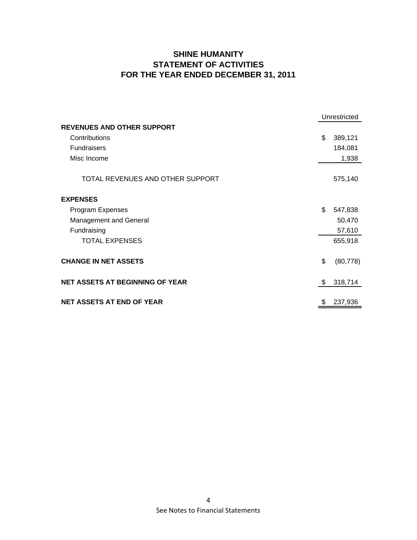## **SHINE HUMANITY STATEMENT OF ACTIVITIES FOR THE YEAR ENDED DECEMBER 31, 2011**

|                                        |     | Unrestricted |  |
|----------------------------------------|-----|--------------|--|
| <b>REVENUES AND OTHER SUPPORT</b>      |     |              |  |
| Contributions                          | \$  | 389,121      |  |
| <b>Fundraisers</b>                     |     | 184,081      |  |
| Misc Income                            |     | 1,938        |  |
|                                        |     |              |  |
| TOTAL REVENUES AND OTHER SUPPORT       |     | 575,140      |  |
|                                        |     |              |  |
| <b>EXPENSES</b>                        |     |              |  |
| Program Expenses                       | \$. | 547,838      |  |
| <b>Management and General</b>          |     | 50,470       |  |
| Fundraising                            |     | 57,610       |  |
| <b>TOTAL EXPENSES</b>                  |     | 655,918      |  |
|                                        |     |              |  |
| <b>CHANGE IN NET ASSETS</b>            | \$  | (80, 778)    |  |
|                                        |     |              |  |
| <b>NET ASSETS AT BEGINNING OF YEAR</b> | \$  | 318,714      |  |
|                                        |     |              |  |
| <b>NET ASSETS AT END OF YEAR</b>       | \$  | 237,936      |  |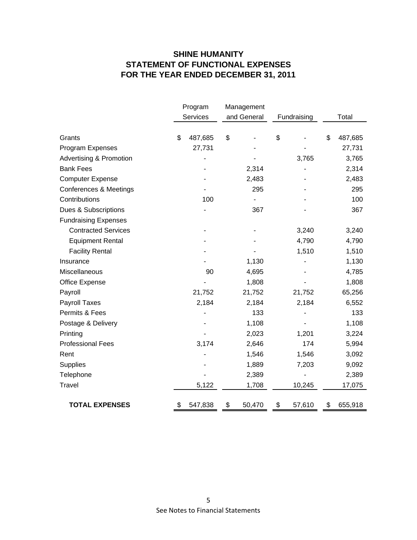## **SHINE HUMANITY STATEMENT OF FUNCTIONAL EXPENSES FOR THE YEAR ENDED DECEMBER 31, 2011**

|                                    | Program |          | Management  |        |             |        |       |         |
|------------------------------------|---------|----------|-------------|--------|-------------|--------|-------|---------|
|                                    |         | Services | and General |        | Fundraising |        | Total |         |
|                                    |         |          |             |        |             |        |       |         |
| Grants                             | \$      | 487,685  | \$          |        | \$          |        | \$    | 487,685 |
| <b>Program Expenses</b>            |         | 27,731   |             |        |             |        |       | 27,731  |
| <b>Advertising &amp; Promotion</b> |         |          |             |        |             | 3,765  |       | 3,765   |
| <b>Bank Fees</b>                   |         |          |             | 2,314  |             |        |       | 2,314   |
| <b>Computer Expense</b>            |         |          |             | 2,483  |             |        |       | 2,483   |
| <b>Conferences &amp; Meetings</b>  |         |          |             | 295    |             |        |       | 295     |
| Contributions                      |         | 100      |             |        |             |        |       | 100     |
| Dues & Subscriptions               |         |          |             | 367    |             |        |       | 367     |
| <b>Fundraising Expenses</b>        |         |          |             |        |             |        |       |         |
| <b>Contracted Services</b>         |         |          |             |        |             | 3,240  |       | 3,240   |
| <b>Equipment Rental</b>            |         |          |             |        |             | 4,790  |       | 4,790   |
| <b>Facility Rental</b>             |         |          |             |        |             | 1,510  |       | 1,510   |
| Insurance                          |         |          |             | 1,130  |             |        |       | 1,130   |
| Miscellaneous                      |         | 90       |             | 4,695  |             |        |       | 4,785   |
| Office Expense                     |         |          |             | 1,808  |             |        |       | 1,808   |
| Payroll                            |         | 21,752   |             | 21,752 |             | 21,752 |       | 65,256  |
| <b>Payroll Taxes</b>               |         | 2,184    |             | 2,184  |             | 2,184  |       | 6,552   |
| Permits & Fees                     |         |          |             | 133    |             |        |       | 133     |
| Postage & Delivery                 |         |          |             | 1,108  |             |        |       | 1,108   |
| Printing                           |         |          |             | 2,023  |             | 1,201  |       | 3,224   |
| <b>Professional Fees</b>           |         | 3,174    |             | 2,646  |             | 174    |       | 5,994   |
| Rent                               |         |          |             | 1,546  |             | 1,546  |       | 3,092   |
| Supplies                           |         |          |             | 1,889  |             | 7,203  |       | 9,092   |
| Telephone                          |         |          |             | 2,389  |             |        |       | 2,389   |
| Travel                             |         | 5,122    |             | 1,708  |             | 10,245 |       | 17,075  |
|                                    |         |          |             |        |             |        |       |         |
| <b>TOTAL EXPENSES</b>              | \$      | 547,838  | \$          | 50,470 | \$          | 57,610 | \$    | 655,918 |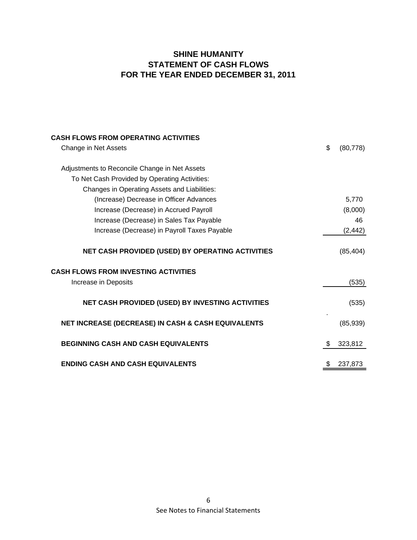## **SHINE HUMANITY STATEMENT OF CASH FLOWS FOR THE YEAR ENDED DECEMBER 31, 2011**

| <b>CASH FLOWS FROM OPERATING ACTIVITIES</b>        |    |           |
|----------------------------------------------------|----|-----------|
| Change in Net Assets                               | \$ | (80, 778) |
|                                                    |    |           |
| Adjustments to Reconcile Change in Net Assets      |    |           |
| To Net Cash Provided by Operating Activities:      |    |           |
| Changes in Operating Assets and Liabilities:       |    |           |
| (Increase) Decrease in Officer Advances            |    | 5,770     |
| Increase (Decrease) in Accrued Payroll             |    | (8,000)   |
| Increase (Decrease) in Sales Tax Payable           |    | 46        |
| Increase (Decrease) in Payroll Taxes Payable       |    | (2, 442)  |
| NET CASH PROVIDED (USED) BY OPERATING ACTIVITIES   |    | (85, 404) |
| <b>CASH FLOWS FROM INVESTING ACTIVITIES</b>        |    |           |
| Increase in Deposits                               |    | (535)     |
| NET CASH PROVIDED (USED) BY INVESTING ACTIVITIES   |    | (535)     |
| NET INCREASE (DECREASE) IN CASH & CASH EQUIVALENTS |    | (85, 939) |
| <b>BEGINNING CASH AND CASH EQUIVALENTS</b>         | S  | 323,812   |
| <b>ENDING CASH AND CASH EQUIVALENTS</b>            |    | 237,873   |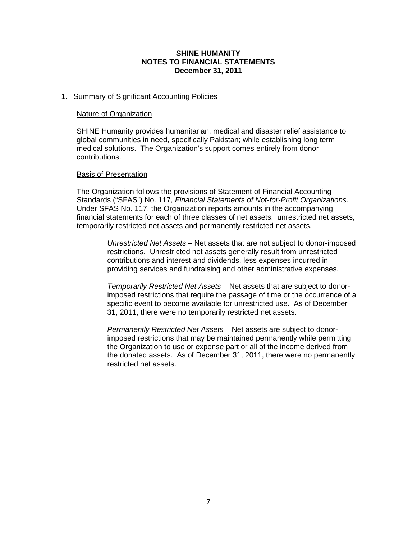## **SHINE HUMANITY NOTES TO FINANCIAL STATEMENTS December 31, 2011**

#### 1. Summary of Significant Accounting Policies

#### Nature of Organization

SHINE Humanity provides humanitarian, medical and disaster relief assistance to global communities in need, specifically Pakistan; while establishing long term medical solutions. The Organization's support comes entirely from donor contributions.

#### Basis of Presentation

The Organization follows the provisions of Statement of Financial Accounting Standards ("SFAS") No. 117, *Financial Statements of Not-for-Profit Organizations*. Under SFAS No. 117, the Organization reports amounts in the accompanying financial statements for each of three classes of net assets: unrestricted net assets, temporarily restricted net assets and permanently restricted net assets.

> *Unrestricted Net Assets* – Net assets that are not subject to donor-imposed restrictions. Unrestricted net assets generally result from unrestricted contributions and interest and dividends, less expenses incurred in providing services and fundraising and other administrative expenses.

> *Temporarily Restricted Net Assets* – Net assets that are subject to donorimposed restrictions that require the passage of time or the occurrence of a specific event to become available for unrestricted use. As of December 31, 2011, there were no temporarily restricted net assets.

> *Permanently Restricted Net Assets* – Net assets are subject to donorimposed restrictions that may be maintained permanently while permitting the Organization to use or expense part or all of the income derived from the donated assets. As of December 31, 2011, there were no permanently restricted net assets.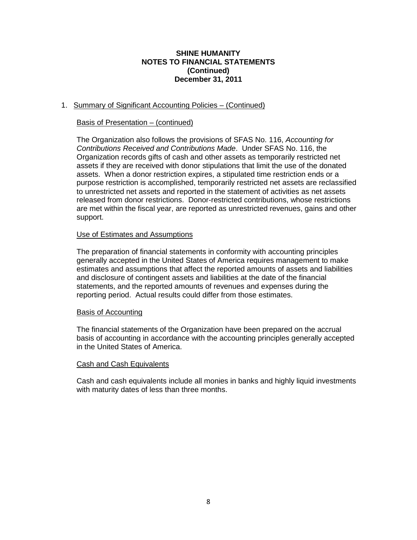## **SHINE HUMANITY NOTES TO FINANCIAL STATEMENTS (Continued) December 31, 2011**

## 1. Summary of Significant Accounting Policies – (Continued)

## Basis of Presentation – (continued)

The Organization also follows the provisions of SFAS No. 116, *Accounting for Contributions Received and Contributions Made*. Under SFAS No. 116, the Organization records gifts of cash and other assets as temporarily restricted net assets if they are received with donor stipulations that limit the use of the donated assets. When a donor restriction expires, a stipulated time restriction ends or a purpose restriction is accomplished, temporarily restricted net assets are reclassified to unrestricted net assets and reported in the statement of activities as net assets released from donor restrictions. Donor-restricted contributions, whose restrictions are met within the fiscal year, are reported as unrestricted revenues, gains and other support.

## Use of Estimates and Assumptions

The preparation of financial statements in conformity with accounting principles generally accepted in the United States of America requires management to make estimates and assumptions that affect the reported amounts of assets and liabilities and disclosure of contingent assets and liabilities at the date of the financial statements, and the reported amounts of revenues and expenses during the reporting period. Actual results could differ from those estimates.

#### Basis of Accounting

The financial statements of the Organization have been prepared on the accrual basis of accounting in accordance with the accounting principles generally accepted in the United States of America.

#### Cash and Cash Equivalents

Cash and cash equivalents include all monies in banks and highly liquid investments with maturity dates of less than three months.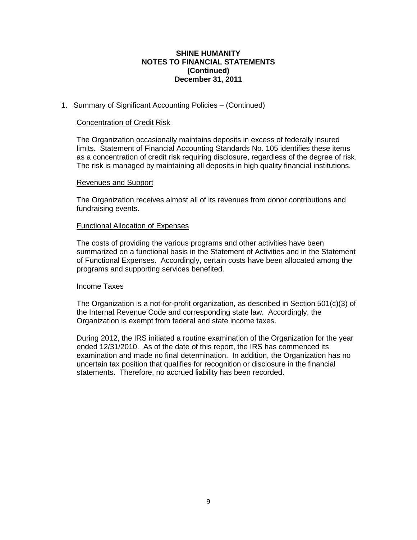## **SHINE HUMANITY NOTES TO FINANCIAL STATEMENTS (Continued) December 31, 2011**

## 1. Summary of Significant Accounting Policies – (Continued)

#### Concentration of Credit Risk

The Organization occasionally maintains deposits in excess of federally insured limits. Statement of Financial Accounting Standards No. 105 identifies these items as a concentration of credit risk requiring disclosure, regardless of the degree of risk. The risk is managed by maintaining all deposits in high quality financial institutions.

#### Revenues and Support

The Organization receives almost all of its revenues from donor contributions and fundraising events.

#### Functional Allocation of Expenses

The costs of providing the various programs and other activities have been summarized on a functional basis in the Statement of Activities and in the Statement of Functional Expenses. Accordingly, certain costs have been allocated among the programs and supporting services benefited.

#### Income Taxes

The Organization is a not-for-profit organization, as described in Section 501(c)(3) of the Internal Revenue Code and corresponding state law. Accordingly, the Organization is exempt from federal and state income taxes.

During 2012, the IRS initiated a routine examination of the Organization for the year ended 12/31/2010. As of the date of this report, the IRS has commenced its examination and made no final determination. In addition, the Organization has no uncertain tax position that qualifies for recognition or disclosure in the financial statements. Therefore, no accrued liability has been recorded.